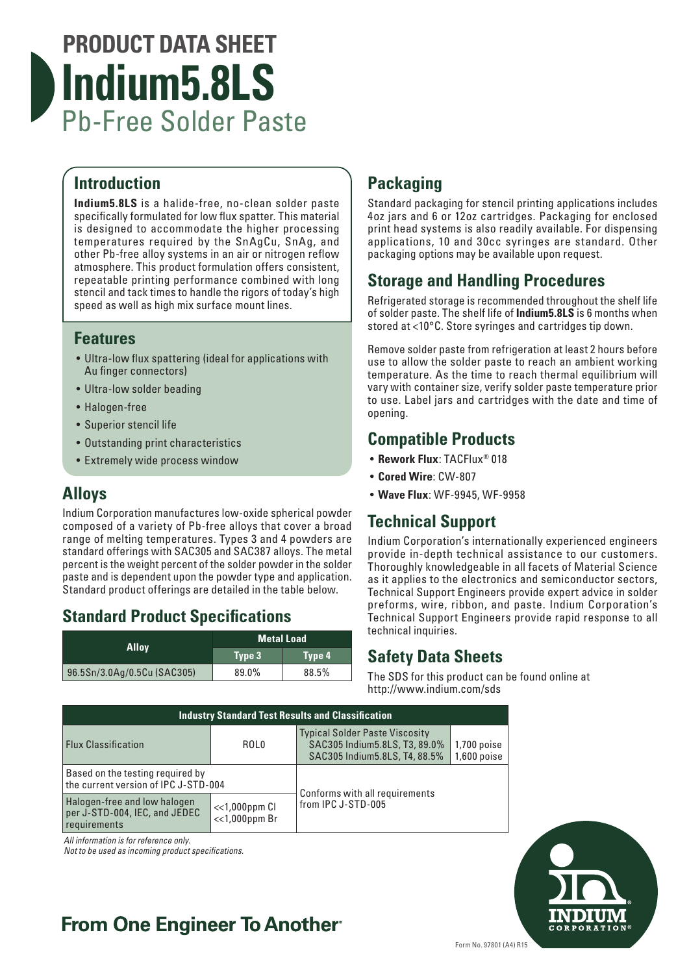# **PRODUCT DATA SHEET Indium5.8LS** Pb-Free Solder Paste

#### **Introduction**

**Indium5.8LS** is a halide-free, no-clean solder paste specifically formulated for low flux spatter. This material is designed to accommodate the higher processing temperatures required by the SnAgCu, SnAg, and other Pb-free alloy systems in an air or nitrogen reflow atmosphere. This product formulation offers consistent, repeatable printing performance combined with long stencil and tack times to handle the rigors of today's high speed as well as high mix surface mount lines.

#### **Features**

- Ultra-low flux spattering (ideal for applications with Au finger connectors)
- Ultra-low solder beading
- Halogen-free
- Superior stencil life
- Outstanding print characteristics
- Extremely wide process window

#### **Alloys**

Indium Corporation manufactures low-oxide spherical powder composed of a variety of Pb-free alloys that cover a broad range of melting temperatures. Types 3 and 4 powders are standard offerings with SAC305 and SAC387 alloys. The metal percent is the weight percent of the solder powder in the solder paste and is dependent upon the powder type and application. Standard product offerings are detailed in the table below.

### **Standard Product Specifications**

| Alloy                       | <b>Metal Load</b> |        |
|-----------------------------|-------------------|--------|
|                             | Type 3            | Type 4 |
| 96.5Sn/3.0Ag/0.5Cu (SAC305) | 89.0%             | 88.5%  |

## **Packaging**

Standard packaging for stencil printing applications includes 4oz jars and 6 or 12oz cartridges. Packaging for enclosed print head systems is also readily available. For dispensing applications, 10 and 30cc syringes are standard. Other packaging options may be available upon request.

#### **Storage and Handling Procedures**

Refrigerated storage is recommended throughout the shelf life of solder paste. The shelf life of **Indium5.8LS** is 6 months when stored at <10°C. Store syringes and cartridges tip down.

Remove solder paste from refrigeration at least 2 hours before use to allow the solder paste to reach an ambient working temperature. As the time to reach thermal equilibrium will vary with container size, verify solder paste temperature prior to use. Label jars and cartridges with the date and time of opening.

#### **Compatible Products**

- **Rework Flux**: TACFlux® 018
- **Cored Wire**: CW-807
- **Wave Flux**: WF-9945, WF-9958

### **Technical Support**

Indium Corporation's internationally experienced engineers provide in-depth technical assistance to our customers. Thoroughly knowledgeable in all facets of Material Science as it applies to the electronics and semiconductor sectors, Technical Support Engineers provide expert advice in solder preforms, wire, ribbon, and paste. Indium Corporation's Technical Support Engineers provide rapid response to all technical inquiries.

#### **Safety Data Sheets**

The SDS for this product can be found online at http://www.indium.com/sds

| <b>Industry Standard Test Results and Classification</b>                      |                                        |                                                                                                           |                                |  |  |
|-------------------------------------------------------------------------------|----------------------------------------|-----------------------------------------------------------------------------------------------------------|--------------------------------|--|--|
| <b>Flux Classification</b>                                                    | ROL <sub>0</sub>                       | <b>Typical Solder Paste Viscosity</b><br>SAC305 Indium 5.8LS, T3, 89.0%<br>SAC305 Indium 5.8LS, T4, 88.5% | $1,700$ poise<br>$1,600$ poise |  |  |
| Based on the testing required by<br>the current version of IPC J-STD-004      |                                        | Conforms with all requirements                                                                            |                                |  |  |
| Halogen-free and low halogen<br>per J-STD-004, IEC, and JEDEC<br>requirements | $<<1,000$ ppm $Cl$<br>$<<$ 1,000ppm Br | from IPC J-STD-005                                                                                        |                                |  |  |

*All information is for reference only.*

*Not to be used as incoming product specifications.*



## **From One Engineer To Another**®